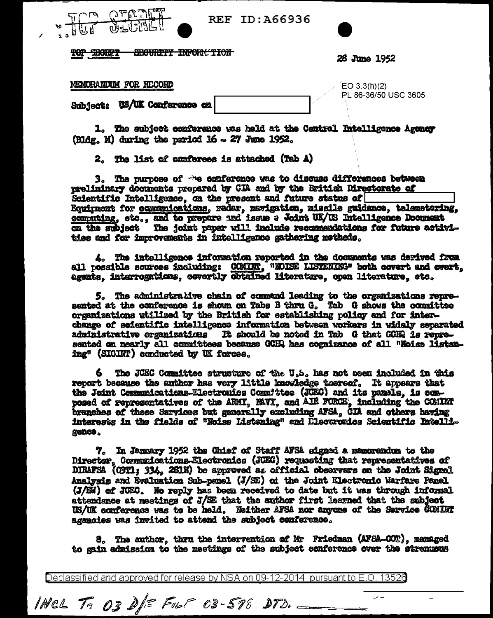| ID:A66936 | <b>REF</b> |  |  |  |  |  |  |  |
|-----------|------------|--|--|--|--|--|--|--|
|-----------|------------|--|--|--|--|--|--|--|



28 June 1952

MEMORANDUM FOR RECORD

**FILE SECTE!** 

 $EO 3.3(h)(2)$ PL 86-36/50 USC 3605

۔ ر

Subject: US/UK Conference on

1. The subject conference was held at the Central Intelligence Agency (Bldg, M) during the period 16 - 27 June 1952.

2. The list of conferees is attached (Tab A)

3. The purpose of the conference was to discuss differences between preliminary documents prepared by CIA and by the British Directorate of Scientific Intelligence, on the present and future status of Equipment for ecompnications, radar, navigation, missile guidance, telemetering, computing, etc., and to prepare and issue a Joint UK/US Intelligence Document on the subject The joint paper will include recommendations for future activities and for improvements in intelligence gathering matheds.

4. The intelligence information reported in the documents was derived from all possible sources including: COMINT, "MOISE LISTENING" both covert and cvert, agents, interrogations, covertly obtained literature, open literature, etc.

5. The administrative chain of command leading to the organizations represented at the conference is shown on Tabs B thru G. Tab G shows the committee organizations utilized by the British for establishing policy and for interchange of saientific intelligence information between workers in widely separated administrative organizations It should be noted in Tab G that GCHQ is represented on nearly all committees because GCHQ has cognizance of all "Noise listening" (SIGINT) conducted by UK forces.

6. The JCEC Committee structure of the U.S. has not osen included in this report because the author has very little knowledge thereof. It appears that the Joint Communications-Electronics Committee (JCEC) and its pamels, is composed of representatives of the ARMI, MAVI, and AIR FORCE, including the COMINT branches of these Sarvices but generally excluding AFSA. CIA and others having interests in the fields of "Noise Listening" and Llecaronics Scientific Intelligence.

7. In January 1952 the Chief of Staff AFSA signed a memorandum to the Director, Communications-Electronics (JCEC) requesting that representatives of DIRAFSA (O3T1; 334, 261N) be approved as official observers on the Joint Signal Analvais and Evaluation Sub-penel (J/SE) of the Joint Electronic Warfare Panel (J/SW) of JCEC. No reply has been received to date but it was through informal attendance at meetings of J/SE that the author first learned that the subject US/UK conference was to be held. Neither AFSA nor anyone of the Sarvice COMINT agencies was invited to attend the subject conference.

8. The author, thru the intervention of Mr Friedman (AFSA-OOT), managed to gain admission to the meetings of the subject conference over the stremusus

Declassified and approved for release by NSA on 09-12-2014 pursuant to E.O. 13526

INCL To 03 D/= FUST 03-598 DTD.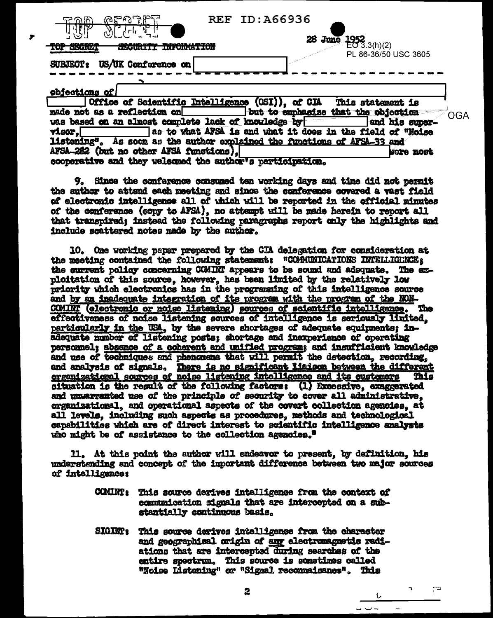| ምግናግም ም<br><u>କଥରା</u> ନ<br>حزاظ                                                  | <b>REF ID: A66936</b>                                                                                                      |
|-----------------------------------------------------------------------------------|----------------------------------------------------------------------------------------------------------------------------|
| $\mathcal{P}[\cdot]$ . $[\cdot \, \cdot]$ , $\mathcal{A}$<br><b>QEARED</b>        | 28 June<br>$\frac{1952}{10}$ 3.3(h)(2)                                                                                     |
| US/UK Conference on<br><b>SUBJECT:</b>                                            | PL 86-36/50 USC 3605                                                                                                       |
|                                                                                   |                                                                                                                            |
| objections of<br>Office of Scientific Intelligence<br>made not as a reflection on | (OSI)), of CIA This statement is                                                                                           |
| was based on an almost complete lack of knowledge by                              | but to emphasize that the objection<br>OGA<br>and his super-                                                               |
| visor.<br>listening".                                                             | as to what AFSA is and what it does in the field of "Noise<br>As soon as the author explained the functions of AFSA-33 and |

**Jeom exeti** 

م⊤

9. Since the conference consumed ten working days and time did not permit the author to attend each meeting and since the conference covered a vast field of electronic intelligence all of which will be reported in the official minutes of the conference (copy to AFSA), no attempt will be made herein to report all that transpired: instead the following paragraphs report only the highlights and include scattered notes made by the author.

AFSA-282 (but no other AFSA functions).

cooperative and they welcomed the author's participation.

10. One working paper prepared by the CIA delegation for consideration at the meeting contained the following statement: "COMMUNICATIONS INTELLIGENCE: the current policy concerning CCMINT appears to be sound and adequate. The exploitation of this source, however, has been limited by the relatively low priority which electronics has in the programing of this intelligence source and by an inadequate integration of its program with the program of the NON-COMINT (electronic or noise listening) sources of scientific intelligence. The effectiveness of noise listening sources of intelligence is seriously limited. particularly in the USA, by the severe shortages of adequate equipments; inadequate number of listening posts; shortage and inexperience of operating personnel; absence of a coherent and unified program; and insufficient knowledge and use of techniques and phenomena that will permit the detection, recording. and analysis of signals. There is no significant liaison between the different organizational sources of noise listening intelligence and its customers This situation is the result of the following factors: (1) Excessive, exaggerated and unvarranted use of the principle of security to cover all administrative, organizational, and operational aspects of the covert collection agencies, at all levels, including such aspects as procedures, methods and technological capabilities which are of direct interest to scientific intelligence analysts who might be of assistance to the collection agencies.<sup>8</sup>

11. At this point the author will endeavor to present, by definition, his understanding and concept of the important difference between two major sources of intelligence:

- **COMINT :** This source derives intelligence from the context of communication signals that are intercepted on a substantially continuous basis.
- SIGINT: This source derives intelligence from the character and geographical origin of any electromagnetic radiations that are intercepted during searches of the entire spectrum. This source is sometimes called "Noise Listening" or "Signal reconnaisance". This

 $\mathbf{z}$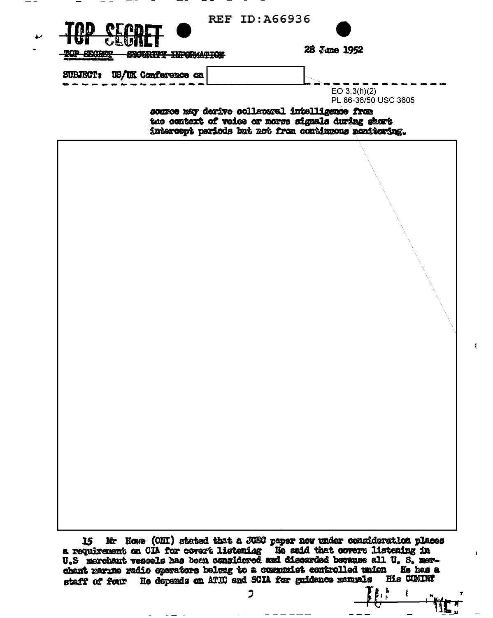| SUBJECT: US/UK Conference on | <del>PY IMPORMATION</del> | 28 June 1952                                                                                                                                                  |
|------------------------------|---------------------------|---------------------------------------------------------------------------------------------------------------------------------------------------------------|
|                              |                           | EO 3.3(h)(2)<br>PL 86-36/50 USC 3605                                                                                                                          |
|                              |                           | source may derive collateral intelligence from<br>the context of voice or norse signals during short<br>intercept periods but not from continuous monitoring. |
|                              |                           |                                                                                                                                                               |
|                              |                           |                                                                                                                                                               |
|                              |                           |                                                                                                                                                               |
|                              |                           |                                                                                                                                                               |
|                              |                           |                                                                                                                                                               |
|                              |                           |                                                                                                                                                               |
|                              |                           |                                                                                                                                                               |
|                              |                           |                                                                                                                                                               |
|                              |                           |                                                                                                                                                               |
|                              |                           |                                                                                                                                                               |
|                              |                           |                                                                                                                                                               |
|                              |                           |                                                                                                                                                               |
|                              |                           |                                                                                                                                                               |
|                              |                           |                                                                                                                                                               |

 $\mathbf{I}$ 

 $\mathbf{t}$ 

 $\overline{a}$ 

THE LATTE

 $\mathfrak{I}$ 

 $-$ 

 $\overline{\phantom{0}}$ 

 $\omega_{\rm{eff}}=0.0000$  and  $\omega_{\rm{eff}}=0.000$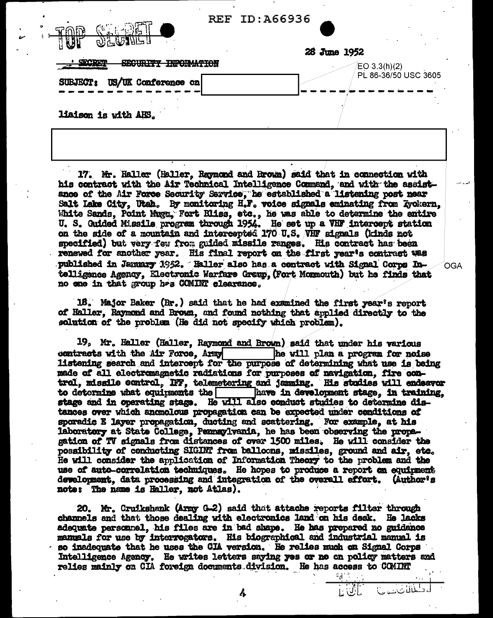| 9) T TO ME N                                                                               | <b>REF ID: A66936</b> |                      |
|--------------------------------------------------------------------------------------------|-----------------------|----------------------|
|                                                                                            | 28 June 1952          |                      |
| <b>CIACIDIDE</b><br>CONTO THE TIMATLAMTAN<br>Report of the state of the state of the state |                       | EO 3.3(h)(2)         |
| US/UK Conference on<br><b>SUBJECT:</b>                                                     |                       | PL 86-36/50 USC 3605 |
|                                                                                            |                       |                      |
| liaison is with AHS.                                                                       |                       |                      |

17. Mr. Haller (Haller, Raymond and Brown) said that in connection with his contract with the Air Technical Intelligence Command, and with the assistance of the Air Force Security Sarvice, he established a listening post near Salt Lake City, Utah. By monitoring H.F. voice signals eminating from Evokern. White Sands, Point Muga, Fort Bliss, etc., he was able to determine the entire U. S. Guided Missile program through 1954. He set up a VHF intercept station on the side of a mountain and intercepted 170 U.S. VHF signals (kinds not specified) but very feu from guided missile ranges. His contract has been renewed for another year. His final report on the first year's contract was published in January 1952. Haller also has a contract with Signal Corps Intelligence Agency. Electronic Warfare Grenp. (Fort Monmouth) but he finds that no one in that group has COMINT clearance.

**OGA** 

كخانات

18. Major Baker (Rr.) said that he had examined the first year's report of Haller. Raymond and Brown, and found nothing that applied directly to the solution of the problem (He did not specify which problem).

19, Mr. Haller (Haller, Raymond and Brown) said that under his various he will plan a program for noise contracts with the Air Force, Army listening search and intercept for the purpose of determining what use is being made of all electromagnetic radiations for purposes of navigation, fire control, missile control, IFF, telemetering and jamming. His studies will endeavor to determine what equipments the  $\Box$ have in development stage, in training. stage and in operating stage. He will also conduct studies to determine distances over which anomolous propagation can be expected under conditions of sporadic E layer propagation, ducting and scattering. For example, at his laboratory at State College, Pennsylvania, he has been observing the propegation of TV signals from distances of over 1500 miles. He will consider the possibility of conducting SIGINT from balloons, missiles, ground and air, etc. He will consider the application of Information Theory to the problem and the use of auto-correlation techniques. He hopes to produce a report on equipment development, data processing and integration of the overall effort. (Author's note: The name is Haller, not Atlas).

20. Mr. Cruikshank (Army G-2) said that attache reports filter through channels and that those dealing with electronics land on his desk. He lacks adequate personnel, his files are in bad shape. He has prepared no guidance manuals for use by interrogators. His biographical and industrial manual is so inadequate that he uses the CIA version. He relies much on Signal Corps Intelligence Agency. He writes letters saying yes or no on policy matters and relies mainly on CIA foreign documents division. He has access to COMINT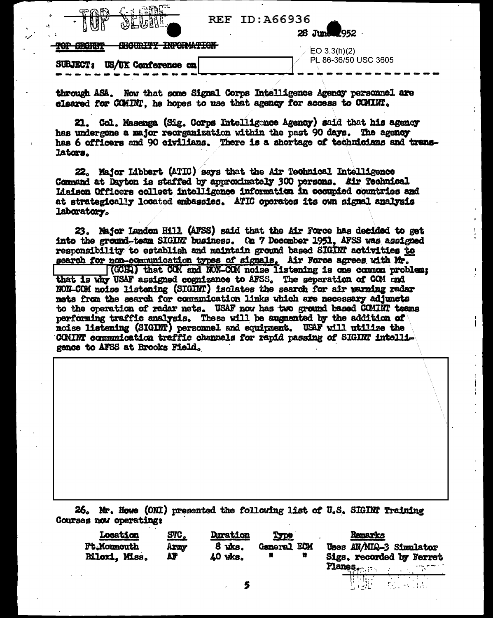| 28 June 1952         |
|----------------------|
| $E$ O 3.3(h)(2)      |
| PL 86-36/50 USC 3605 |
|                      |

**REF ID: A66936** 

through ASA. Now that some Signal Corps Intelligence Agency personnel are cleared for COMINT. he hopes to use that agency for access to COMINT.

21. Col. Masenga (Sig. Corps Intelligence Agency) said that his agency has undergone a major reorganization within the past 90 days. The agency has 6 officers and 90 civilians. There is a shortage of technicians and translators.

22. Major Libbert (ATIC) says that the Air Technical Intelligence Command at Dayton is staffed by approximately 300 persons. Air Technical Lisison Officers collect intelligence information in cocupied countries and at strategically located embassies. ATIC operates its own signal analysis laboratory.

23. Major Landon Hill (AFSS) said that the Air Force has decided to get into the ground-team SIGINT business. On 7 December 1951. AFSS was assigned responsibility to establish and maintain ground based SIGINT activities to search for non-communication types of signals. Air Force agrees with Mr. [(GCHQ) that COM and NON-COM noise listening is one common problem: that is why USAF assigned cognizance to AFSS. The separation of COM and NON-COM noise listening (SIGINT) isolates the search for air warning redar nets from the search for communication links which are necessary adjuncts to the operation of radar nets. USAF now has two ground based COMINT teams performing traffic analysis. These will be augmented by the addition of noise listening (SIGINT) personnel and equipment. USAF will utilize the COMINT communication traffic channels for rapid passing of SIGINT intelligence to AFSS at Brooks Field.

26. Mr. Howe (ONI) presented the following list of U.S. SIGINT Training Courses now operating:

| Location<br><b>Ft.Monmouth</b><br><b>Biloxi</b> , Miss. | <u>SVC, </u><br>Axay<br>AF | <b>Duration</b><br>8 uks.<br>$40$ $u$ <sub>ks</sub> | Type<br><b>General ECM</b><br>Ħ<br>Ħ | Remarks<br>Uses AN/MIQ-3 Simulator<br>Sigs. recorded by Ferret<br><b>Planes.</b> |
|---------------------------------------------------------|----------------------------|-----------------------------------------------------|--------------------------------------|----------------------------------------------------------------------------------|
|                                                         |                            |                                                     |                                      |                                                                                  |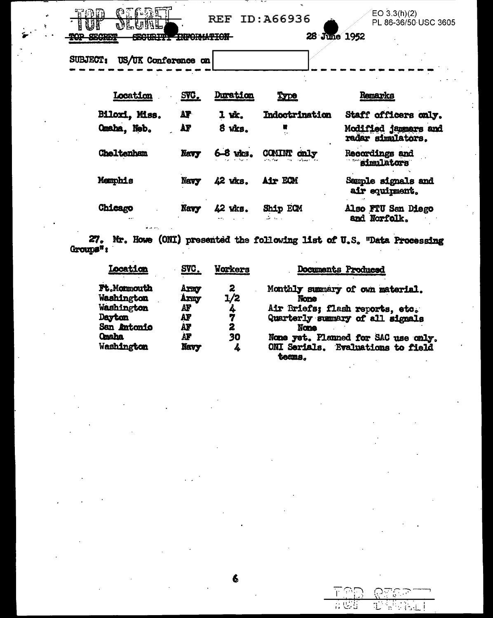| REF.<br>ID:A66936 |  |
|-------------------|--|
|-------------------|--|

28 June 1952

 $EO 3.3(h)(2)$ PL 86-36/50 USC 3605

SECRET **INFORMATION-**₽Q₽

SUBJECT: US/UK Conference on

Duration Location SVC. Remarks Type Biloxi. Miss. Staff officers only. AF 1 wk. Indoctrination Omaha, Neb. AF Ħ Modified jammers and 8 wks.  $\ddot{\cdot}$ radar simulators. COMINT only Navy Cheltenham 68 wks. Recordings and simulators Sample signals and Memphis 42 vixs. Air ECM **Navy** air equipment. Chicago 42 wks. Ship ECM Also FTU San Diego Navy and Norfolk. 3 J.T.

27. Mr. Howe (ONI) presented the following list of U.S. "Data Processing Groups":

| Location     | SVC. | Workers | <b>Documents Produced</b>                   |
|--------------|------|---------|---------------------------------------------|
| Ft.Monmouth  | Axmy | 2       | Monthly summary of own material.            |
| Washington   | Army | 1/2     | <b>None</b>                                 |
| Washington   | AF   | 4       | Air Briefs; flash reports, etc.             |
| Dayton       | AF   |         | Quarterly summary of all signals            |
| San Antonio  | AF   | 2       | <b>None</b>                                 |
| <b>Onaha</b> | AF   | 30      | None yet. Planned for SAC use only.         |
| Washington   | Navy | 4       | ONI Serials. Evaluations to field<br>teans. |

6

|     | . .       |
|-----|-----------|
| . . | ٠.<br>. . |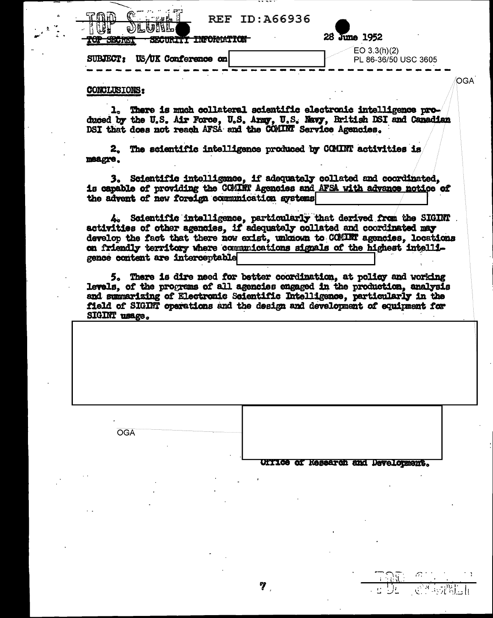| <b>REF ID: A66936</b><br>d)LUNL                                               |                                         |
|-------------------------------------------------------------------------------|-----------------------------------------|
| <b>BRAY: 1 2 20 TO ABU</b><br><b>DOUUTII INFUNTATUM</b><br><b>TOULD THE T</b> | 28 June 1952                            |
| US/UK Conference on<br><b>SUBJECT:</b>                                        | $E$ O 3.3(h)(2)<br>PL 86-36/50 USC 3605 |

## **CONCLUSIONS:**

**OGA** 

1. There is much collateral scientific electronic intelligence produced by the U.S. Air Force, U.S. Army, U.S. Navy, British DSI and Canadian DSI that does not reach AFSA and the COMINT Service Agencies.

OGA.

2. The scientific intelligence produced by COMINT activities is meagre.

3. Scientific intelligance. if adequately collated and coordinated. is capable of providing the COMINT Agencies and AFSA with advance notice of the advent of new foreign communication systems

4. Scientific intelligence, particularly that derived from the SIGINT activities of other agencies, if adequately collated and coordinated may develop the fact that there now exist, unknown to CCMINT agencies, locations on friendly territory where communications signals of the highest intelligence content are interceptable

5. There is dire need for better coordination, at policy and working levels, of the programs of all agencies engaged in the production, analysis and summarizing of Electronic Scientific Intelligence, particularly in the field of SIGINT operations and the design and development of equipment for SIGINT usage.

7.

UITICS of Research and Development.

**2014年1月**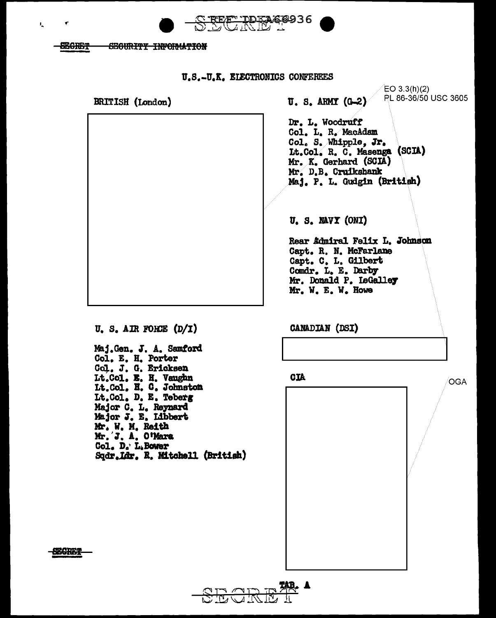

**SEGRET** SECURITY INFORMATION

V.

U.S.-U.K. ELECTRONICS CONFEREES

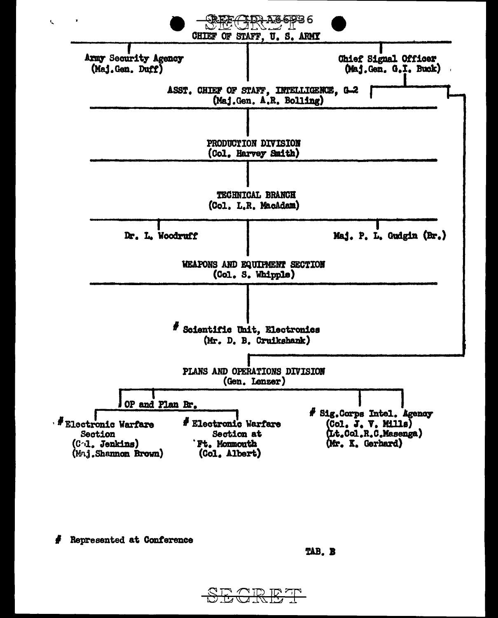

Represented at Conference

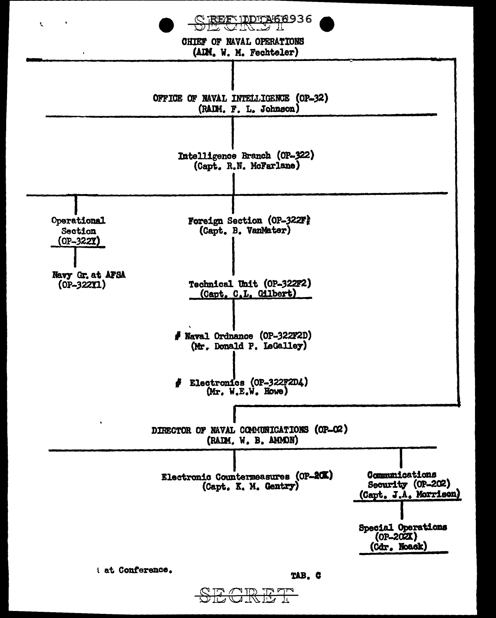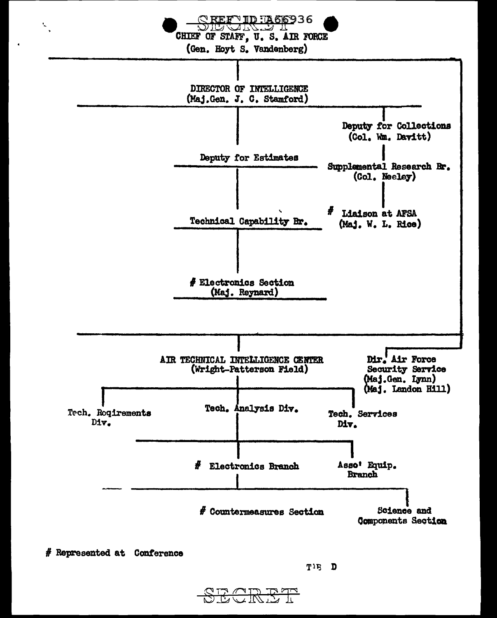

<del>ZCRET</del>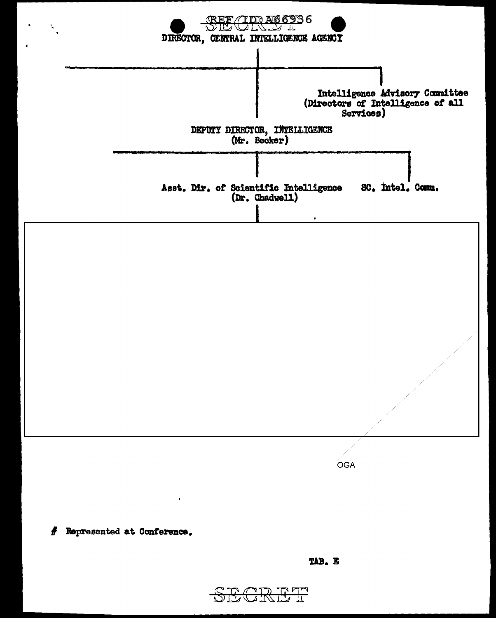

OGA

Represented at Conference. 4

 $\mathbf{I}$ 

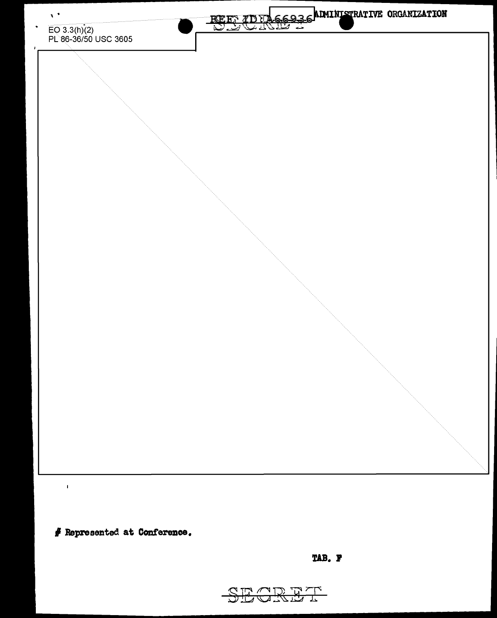

**I .Represented at Conference.** 

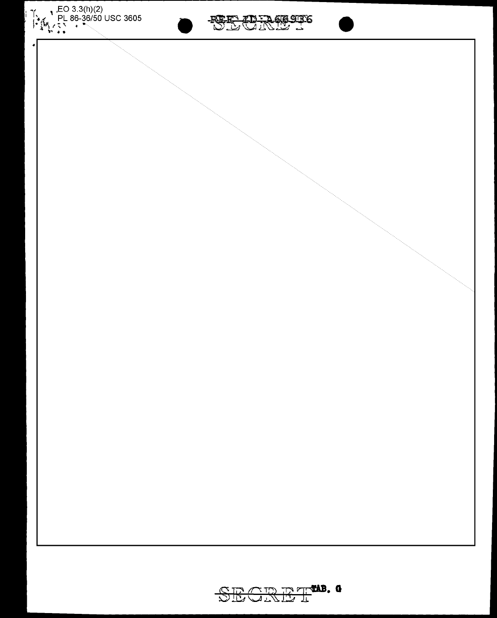